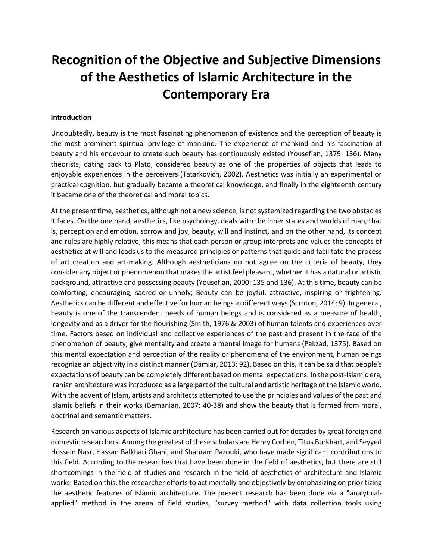## **[Recognition of the Objective and Subjective Dimensions](http://www.sysislamicartjournal.ir/article_108421_en.html)  [of the Aesthetics of Islamic Architecture in the](http://www.sysislamicartjournal.ir/article_108421_en.html)  [Contemporary Era](http://www.sysislamicartjournal.ir/article_108421_en.html)**

## **Introduction**

Undoubtedly, beauty is the most fascinating phenomenon of existence and the perception of beauty is the most prominent spiritual privilege of mankind. The experience of mankind and his fascination of beauty and his endevour to create such beauty has continuously existed (Yousefian, 1379: 136). Many theorists, dating back to Plato, considered beauty as one of the properties of objects that leads to enjoyable experiences in the perceivers (Tatarkovich, 2002). Aesthetics was initially an experimental or practical cognition, but gradually became a theoretical knowledge, and finally in the eighteenth century it became one of the theoretical and moral topics.

At the present time, aesthetics, although not a new science, is not systemized regarding the two obstacles it faces. On the one hand, aesthetics, like psychology, deals with the inner states and worlds of man, that is, perception and emotion, sorrow and joy, beauty, will and instinct, and on the other hand, its concept and rules are highly relative; this means that each person or group interprets and values the concepts of aesthetics at will and leads us to the measured principles or patterns that guide and facilitate the process of art creation and art-making. Although aestheticians do not agree on the criteria of beauty, they consider any object or phenomenon that makes the artist feel pleasant, whether it has a natural or artistic background, attractive and possessing beauty (Yousefian, 2000: 135 and 136). At this time, beauty can be comforting, encouraging, sacred or unholy; Beauty can be joyful, attractive, inspiring or frightening. Aesthetics can be different and effective for human beings in different ways (Scroton, 2014: 9). In general, beauty is one of the transcendent needs of human beings and is considered as a measure of health, longevity and as a driver for the flourishing (Smith, 1976 & 2003) of human talents and experiences over time. Factors based on individual and collective experiences of the past and present in the face of the phenomenon of beauty, give mentality and create a mental image for humans (Pakzad, 1375). Based on this mental expectation and perception of the reality or phenomena of the environment, human beings recognize an objectivity in a distinct manner (Damiar, 2013: 92). Based on this, it can be said that people's expectations of beauty can be completely different based on mental expectations. In the post-Islamic era, Iranian architecture was introduced as a large part of the cultural and artistic heritage of the Islamic world. With the advent of Islam, artists and architects attempted to use the principles and values of the past and Islamic beliefs in their works (Bemanian, 2007: 40-38) and show the beauty that is formed from moral, doctrinal and semantic matters.

Research on various aspects of Islamic architecture has been carried out for decades by great foreign and domestic researchers. Among the greatest of these scholars are Henry Corben, Titus Burkhart, and Seyyed Hossein Nasr, Hassan Balkhari Ghahi, and Shahram Pazouki, who have made significant contributions to this field. According to the researches that have been done in the field of aesthetics, but there are still shortcomings in the field of studies and research in the field of aesthetics of architecture and Islamic works. Based on this, the researcher efforts to act mentally and objectively by emphasizing on prioritizing the aesthetic features of Islamic architecture. The present research has been done via a "analyticalapplied" method in the arena of field studies, "survey method" with data collection tools using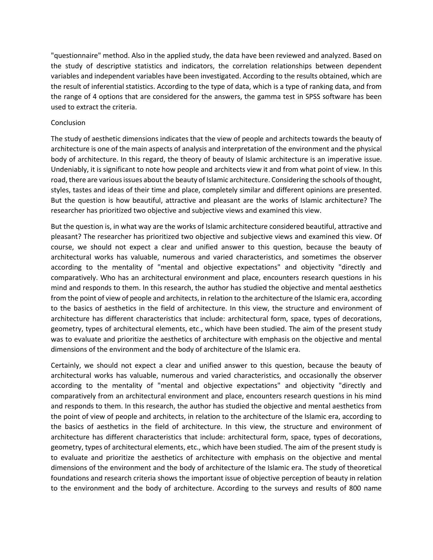"questionnaire" method. Also in the applied study, the data have been reviewed and analyzed. Based on the study of descriptive statistics and indicators, the correlation relationships between dependent variables and independent variables have been investigated. According to the results obtained, which are the result of inferential statistics. According to the type of data, which is a type of ranking data, and from the range of 4 options that are considered for the answers, the gamma test in SPSS software has been used to extract the criteria.

## Conclusion

The study of aesthetic dimensions indicates that the view of people and architects towards the beauty of architecture is one of the main aspects of analysis and interpretation of the environment and the physical body of architecture. In this regard, the theory of beauty of Islamic architecture is an imperative issue. Undeniably, it is significant to note how people and architects view it and from what point of view. In this road, there are various issues about the beauty of Islamic architecture. Considering the schools of thought, styles, tastes and ideas of their time and place, completely similar and different opinions are presented. But the question is how beautiful, attractive and pleasant are the works of Islamic architecture? The researcher has prioritized two objective and subjective views and examined this view.

But the question is, in what way are the works of Islamic architecture considered beautiful, attractive and pleasant? The researcher has prioritized two objective and subjective views and examined this view. Of course, we should not expect a clear and unified answer to this question, because the beauty of architectural works has valuable, numerous and varied characteristics, and sometimes the observer according to the mentality of "mental and objective expectations" and objectivity "directly and comparatively. Who has an architectural environment and place, encounters research questions in his mind and responds to them. In this research, the author has studied the objective and mental aesthetics from the point of view of people and architects, in relation to the architecture of the Islamic era, according to the basics of aesthetics in the field of architecture. In this view, the structure and environment of architecture has different characteristics that include: architectural form, space, types of decorations, geometry, types of architectural elements, etc., which have been studied. The aim of the present study was to evaluate and prioritize the aesthetics of architecture with emphasis on the objective and mental dimensions of the environment and the body of architecture of the Islamic era.

Certainly, we should not expect a clear and unified answer to this question, because the beauty of architectural works has valuable, numerous and varied characteristics, and occasionally the observer according to the mentality of "mental and objective expectations" and objectivity "directly and comparatively from an architectural environment and place, encounters research questions in his mind and responds to them. In this research, the author has studied the objective and mental aesthetics from the point of view of people and architects, in relation to the architecture of the Islamic era, according to the basics of aesthetics in the field of architecture. In this view, the structure and environment of architecture has different characteristics that include: architectural form, space, types of decorations, geometry, types of architectural elements, etc., which have been studied. The aim of the present study is to evaluate and prioritize the aesthetics of architecture with emphasis on the objective and mental dimensions of the environment and the body of architecture of the Islamic era. The study of theoretical foundations and research criteria shows the important issue of objective perception of beauty in relation to the environment and the body of architecture. According to the surveys and results of 800 name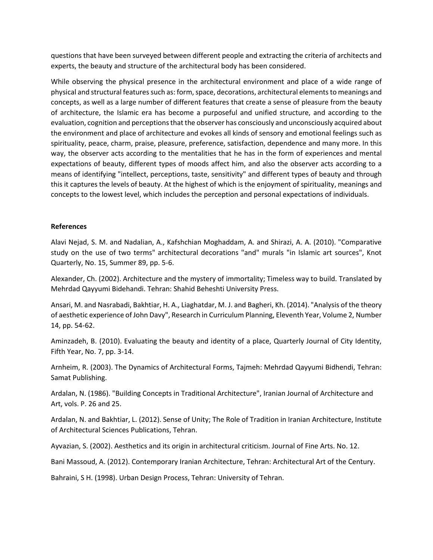questions that have been surveyed between different people and extracting the criteria of architects and experts, the beauty and structure of the architectural body has been considered.

While observing the physical presence in the architectural environment and place of a wide range of physical and structural features such as: form, space, decorations, architectural elements to meanings and concepts, as well as a large number of different features that create a sense of pleasure from the beauty of architecture, the Islamic era has become a purposeful and unified structure, and according to the evaluation, cognition and perceptions that the observer has consciously and unconsciously acquired about the environment and place of architecture and evokes all kinds of sensory and emotional feelings such as spirituality, peace, charm, praise, pleasure, preference, satisfaction, dependence and many more. In this way, the observer acts according to the mentalities that he has in the form of experiences and mental expectations of beauty, different types of moods affect him, and also the observer acts according to a means of identifying "intellect, perceptions, taste, sensitivity" and different types of beauty and through this it captures the levels of beauty. At the highest of which is the enjoyment of spirituality, meanings and concepts to the lowest level, which includes the perception and personal expectations of individuals.

## **References**

Alavi Nejad, S. M. and Nadalian, A., Kafshchian Moghaddam, A. and Shirazi, A. A. (2010). "Comparative study on the use of two terms" architectural decorations "and" murals "in Islamic art sources", Knot Quarterly, No. 15, Summer 89, pp. 5-6.

Alexander, Ch. (2002). Architecture and the mystery of immortality; Timeless way to build. Translated by Mehrdad Qayyumi Bidehandi. Tehran: Shahid Beheshti University Press.

Ansari, M. and Nasrabadi, Bakhtiar, H. A., Liaghatdar, M. J. and Bagheri, Kh. (2014). "Analysis of the theory of aesthetic experience of John Davy", Research in Curriculum Planning, Eleventh Year, Volume 2, Number 14, pp. 54-62.

Aminzadeh, B. (2010). Evaluating the beauty and identity of a place, Quarterly Journal of City Identity, Fifth Year, No. 7, pp. 3-14.

Arnheim, R. (2003). The Dynamics of Architectural Forms, Tajmeh: Mehrdad Qayyumi Bidhendi, Tehran: Samat Publishing.

Ardalan, N. (1986). "Building Concepts in Traditional Architecture", Iranian Journal of Architecture and Art, vols. P. 26 and 25.

Ardalan, N. and Bakhtiar, L. (2012). Sense of Unity; The Role of Tradition in Iranian Architecture, Institute of Architectural Sciences Publications, Tehran.

Ayvazian, S. (2002). Aesthetics and its origin in architectural criticism. Journal of Fine Arts. No. 12.

Bani Massoud, A. (2012). Contemporary Iranian Architecture, Tehran: Architectural Art of the Century.

Bahraini, S H. (1998). Urban Design Process, Tehran: University of Tehran.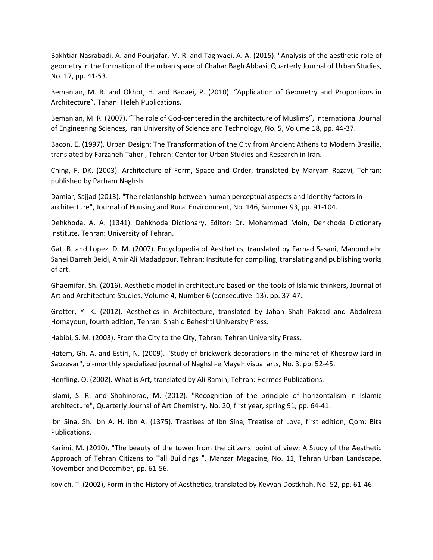Bakhtiar Nasrabadi, A. and Pourjafar, M. R. and Taghvaei, A. A. (2015). "Analysis of the aesthetic role of geometry in the formation of the urban space of Chahar Bagh Abbasi, Quarterly Journal of Urban Studies, No. 17, pp. 41-53.

Bemanian, M. R. and Okhot, H. and Baqaei, P. (2010). "Application of Geometry and Proportions in Architecture", Tahan: Heleh Publications.

Bemanian, M. R. (2007). "The role of God-centered in the architecture of Muslims", International Journal of Engineering Sciences, Iran University of Science and Technology, No. 5, Volume 18, pp. 44-37.

Bacon, E. (1997). Urban Design: The Transformation of the City from Ancient Athens to Modern Brasilia, translated by Farzaneh Taheri, Tehran: Center for Urban Studies and Research in Iran.

Ching, F. DK. (2003). Architecture of Form, Space and Order, translated by Maryam Razavi, Tehran: published by Parham Naghsh.

Damiar, Sajjad (2013). "The relationship between human perceptual aspects and identity factors in architecture", Journal of Housing and Rural Environment, No. 146, Summer 93, pp. 91-104.

Dehkhoda, A. A. (1341). Dehkhoda Dictionary, Editor: Dr. Mohammad Moin, Dehkhoda Dictionary Institute, Tehran: University of Tehran.

Gat, B. and Lopez, D. M. (2007). Encyclopedia of Aesthetics, translated by Farhad Sasani, Manouchehr Sanei Darreh Beidi, Amir Ali Madadpour, Tehran: Institute for compiling, translating and publishing works of art.

Ghaemifar, Sh. (2016). Aesthetic model in architecture based on the tools of Islamic thinkers, Journal of Art and Architecture Studies, Volume 4, Number 6 (consecutive: 13), pp. 37-47.

Grotter, Y. K. (2012). Aesthetics in Architecture, translated by Jahan Shah Pakzad and Abdolreza Homayoun, fourth edition, Tehran: Shahid Beheshti University Press.

Habibi, S. M. (2003). From the City to the City, Tehran: Tehran University Press.

Hatem, Gh. A. and Estiri, N. (2009). "Study of brickwork decorations in the minaret of Khosrow Jard in Sabzevar", bi-monthly specialized journal of Naghsh-e Mayeh visual arts, No. 3, pp. 52-45.

Henfling, O. (2002). What is Art, translated by Ali Ramin, Tehran: Hermes Publications.

Islami, S. R. and Shahinorad, M. (2012). "Recognition of the principle of horizontalism in Islamic architecture", Quarterly Journal of Art Chemistry, No. 20, first year, spring 91, pp. 64-41.

Ibn Sina, Sh. Ibn A. H. ibn A. (1375). Treatises of Ibn Sina, Treatise of Love, first edition, Qom: Bita Publications.

Karimi, M. (2010). "The beauty of the tower from the citizens' point of view; A Study of the Aesthetic Approach of Tehran Citizens to Tall Buildings ", Manzar Magazine, No. 11, Tehran Urban Landscape, November and December, pp. 61-56.

kovich, T. (2002), Form in the History of Aesthetics, translated by Keyvan Dostkhah, No. 52, pp. 61-46.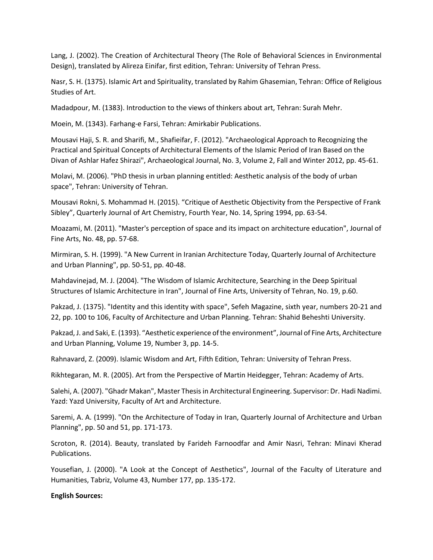Lang, J. (2002). The Creation of Architectural Theory (The Role of Behavioral Sciences in Environmental Design), translated by Alireza Einifar, first edition, Tehran: University of Tehran Press.

Nasr, S. H. (1375). Islamic Art and Spirituality, translated by Rahim Ghasemian, Tehran: Office of Religious Studies of Art.

Madadpour, M. (1383). Introduction to the views of thinkers about art, Tehran: Surah Mehr.

Moein, M. (1343). Farhang-e Farsi, Tehran: Amirkabir Publications.

Mousavi Haji, S. R. and Sharifi, M., Shafieifar, F. (2012). "Archaeological Approach to Recognizing the Practical and Spiritual Concepts of Architectural Elements of the Islamic Period of Iran Based on the Divan of Ashlar Hafez Shirazi", Archaeological Journal, No. 3, Volume 2, Fall and Winter 2012, pp. 45-61.

Molavi, M. (2006). "PhD thesis in urban planning entitled: Aesthetic analysis of the body of urban space", Tehran: University of Tehran.

Mousavi Rokni, S. Mohammad H. (2015). "Critique of Aesthetic Objectivity from the Perspective of Frank Sibley", Quarterly Journal of Art Chemistry, Fourth Year, No. 14, Spring 1994, pp. 63-54.

Moazami, M. (2011). "Master's perception of space and its impact on architecture education", Journal of Fine Arts, No. 48, pp. 57-68.

Mirmiran, S. H. (1999). "A New Current in Iranian Architecture Today, Quarterly Journal of Architecture and Urban Planning", pp. 50-51, pp. 40-48.

Mahdavinejad, M. J. (2004). "The Wisdom of Islamic Architecture, Searching in the Deep Spiritual Structures of Islamic Architecture in Iran", Journal of Fine Arts, University of Tehran, No. 19, p.60.

Pakzad, J. (1375). "Identity and this identity with space", Sefeh Magazine, sixth year, numbers 20-21 and 22, pp. 100 to 106, Faculty of Architecture and Urban Planning. Tehran: Shahid Beheshti University.

Pakzad, J. and Saki, E. (1393). "Aesthetic experience of the environment", Journal of Fine Arts, Architecture and Urban Planning, Volume 19, Number 3, pp. 14-5.

Rahnavard, Z. (2009). Islamic Wisdom and Art, Fifth Edition, Tehran: University of Tehran Press.

Rikhtegaran, M. R. (2005). Art from the Perspective of Martin Heidegger, Tehran: Academy of Arts.

Salehi, A. (2007). "Ghadr Makan", Master Thesis in Architectural Engineering. Supervisor: Dr. Hadi Nadimi. Yazd: Yazd University, Faculty of Art and Architecture.

Saremi, A. A. (1999). "On the Architecture of Today in Iran, Quarterly Journal of Architecture and Urban Planning", pp. 50 and 51, pp. 171-173.

Scroton, R. (2014). Beauty, translated by Farideh Farnoodfar and Amir Nasri, Tehran: Minavi Kherad Publications.

Yousefian, J. (2000). "A Look at the Concept of Aesthetics", Journal of the Faculty of Literature and Humanities, Tabriz, Volume 43, Number 177, pp. 135-172.

**English Sources:**